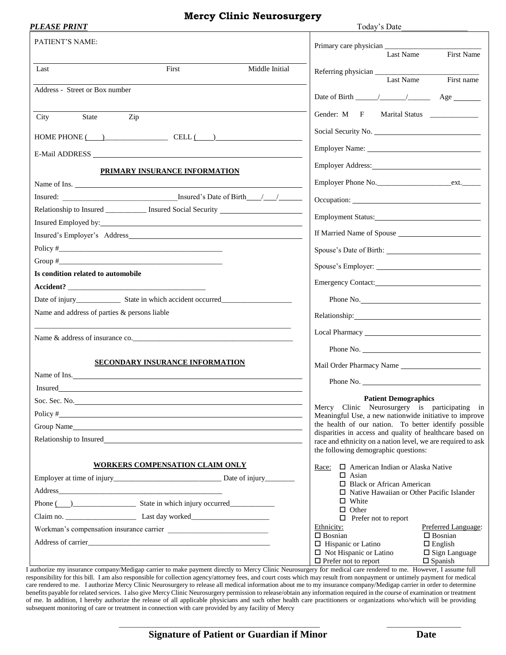#### **Mercy Clinic Neurosurgery**

| PLEASE PRINT                                 |                                                                                                                                                                                                                                |                | Today's Date                                                                                                      |                                        |
|----------------------------------------------|--------------------------------------------------------------------------------------------------------------------------------------------------------------------------------------------------------------------------------|----------------|-------------------------------------------------------------------------------------------------------------------|----------------------------------------|
| PATIENT'S NAME:                              |                                                                                                                                                                                                                                |                |                                                                                                                   |                                        |
|                                              |                                                                                                                                                                                                                                |                | Last Name                                                                                                         | First Name                             |
| Last                                         | First                                                                                                                                                                                                                          | Middle Initial | Last Name                                                                                                         | First name                             |
| Address - Street or Box number               |                                                                                                                                                                                                                                |                |                                                                                                                   |                                        |
|                                              |                                                                                                                                                                                                                                |                |                                                                                                                   |                                        |
| <b>State</b><br>City                         | Zip                                                                                                                                                                                                                            |                | Gender: M F                                                                                                       | Marital Status ________________        |
|                                              | $HOME PHONE$ $($                                                                                                                                                                                                               |                | Social Security No.                                                                                               |                                        |
|                                              |                                                                                                                                                                                                                                |                |                                                                                                                   |                                        |
|                                              | PRIMARY INSURANCE INFORMATION                                                                                                                                                                                                  |                |                                                                                                                   |                                        |
|                                              | Name of Ins.                                                                                                                                                                                                                   |                | Employer Phone No.                                                                                                |                                        |
|                                              |                                                                                                                                                                                                                                |                |                                                                                                                   |                                        |
|                                              | Relationship to Insured ____________ Insured Social Security ____________________                                                                                                                                              |                | Employment Status:                                                                                                |                                        |
|                                              | Insured Employed by:                                                                                                                                                                                                           |                | If Married Name of Spouse                                                                                         |                                        |
|                                              |                                                                                                                                                                                                                                |                |                                                                                                                   |                                        |
|                                              |                                                                                                                                                                                                                                |                |                                                                                                                   |                                        |
| Is condition related to automobile           |                                                                                                                                                                                                                                |                |                                                                                                                   |                                        |
|                                              |                                                                                                                                                                                                                                |                |                                                                                                                   |                                        |
|                                              | Date of injury<br>State in which accident occurred<br><u>Date of injury</u>                                                                                                                                                    |                | Phone No.                                                                                                         |                                        |
| Name and address of parties & persons liable |                                                                                                                                                                                                                                |                |                                                                                                                   |                                        |
|                                              | Name & address of insurance co.                                                                                                                                                                                                |                |                                                                                                                   |                                        |
|                                              |                                                                                                                                                                                                                                |                |                                                                                                                   |                                        |
|                                              | <b>SECONDARY INSURANCE INFORMATION</b>                                                                                                                                                                                         |                | Mail Order Pharmacy Name                                                                                          |                                        |
|                                              | Name of Ins.                                                                                                                                                                                                                   |                |                                                                                                                   |                                        |
|                                              | Insured the contract of the contract of the contract of the contract of the contract of the contract of the contract of the contract of the contract of the contract of the contract of the contract of the contract of the co |                |                                                                                                                   |                                        |
|                                              | Soc. Sec. No.                                                                                                                                                                                                                  |                | <b>Patient Demographics</b><br>Mercy Clinic Neurosurgery is participating in                                      |                                        |
|                                              |                                                                                                                                                                                                                                |                | Meaningful Use, a new nationwide initiative to improve                                                            |                                        |
|                                              | Group Name                                                                                                                                                                                                                     |                | the health of our nation. To better identify possible<br>disparities in access and quality of healthcare based on |                                        |
|                                              | Relationship to Insured                                                                                                                                                                                                        |                | race and ethnicity on a nation level, we are required to ask                                                      |                                        |
|                                              |                                                                                                                                                                                                                                |                | the following demographic questions:                                                                              |                                        |
|                                              | <b>WORKERS COMPENSATION CLAIM ONLY</b>                                                                                                                                                                                         |                | $\Box$ American Indian or Alaska Native<br>Race:                                                                  |                                        |
|                                              |                                                                                                                                                                                                                                |                | $\Box$ Asian<br>$\Box$ Black or African American                                                                  |                                        |
|                                              | Address and the state of the state of the state of the state of the state of the state of the state of the state of the state of the state of the state of the state of the state of the state of the state of the state of th |                | $\Box$ Native Hawaiian or Other Pacific Islander                                                                  |                                        |
|                                              |                                                                                                                                                                                                                                |                | $\Box$ White                                                                                                      |                                        |
|                                              |                                                                                                                                                                                                                                |                | $\Box$ Other<br>$\Box$ Prefer not to report                                                                       |                                        |
|                                              |                                                                                                                                                                                                                                |                | Ethnicity:                                                                                                        | Preferred Language:                    |
|                                              |                                                                                                                                                                                                                                |                | $\Box$ Bosnian                                                                                                    | $\Box$ Bosnian                         |
|                                              |                                                                                                                                                                                                                                |                | $\Box$ Hispanic or Latino<br>$\Box$ Not Hispanic or Latino                                                        | $\Box$ English<br>$\Box$ Sign Language |
|                                              |                                                                                                                                                                                                                                |                | $\Box$ Prefer not to report                                                                                       | $\Box$ Spanish                         |

I authorize my insurance company/Medigap carrier to make payment directly to Mercy Clinic Neurosurgery for medical care rendered to me. However, I assume full responsibility for this bill. I am also responsible for collection agency/attorney fees, and court costs which may result from nonpayment or untimely payment for medical care rendered to me. I authorize Mercy Clinic Neurosurgery to release all medical information about me to my insurance company/Medigap carrier in order to determine benefits payable for related services. I also give Mercy Clinic Neurosurgery permission to release/obtain any information required in the course of examination or treatment of me. In addition, I hereby authorize the release of all applicable physicians and such other health care practitioners or organizations who/which will be providing subsequent monitoring of care or treatment in connection with care provided by any facility of Mercy

\_\_\_\_\_\_\_\_\_\_\_\_\_\_\_\_\_\_\_\_\_\_\_\_\_\_\_\_\_\_\_\_\_\_\_\_\_\_\_\_\_\_\_\_\_\_\_\_\_\_\_\_\_\_ \_\_\_\_\_\_\_\_\_\_\_\_\_\_\_\_\_\_\_\_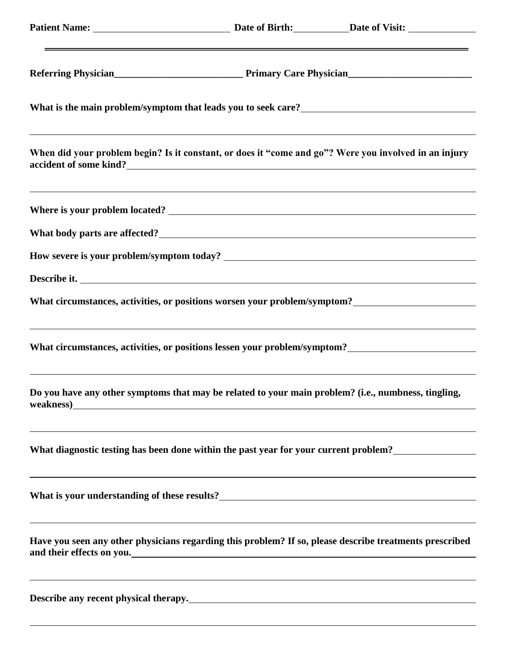|                                                                                                     | What is the main problem/symptom that leads you to seek care?<br><u>Letting</u>                                                                                                           |
|-----------------------------------------------------------------------------------------------------|-------------------------------------------------------------------------------------------------------------------------------------------------------------------------------------------|
| accident of some kind?<br><u>Letter and the set of some kind</u> :                                  | ,我们也不会有什么。""我们的人,我们也不会有什么?""我们的人,我们也不会有什么?""我们的人,我们也不会有什么?""我们的人,我们也不会有什么?""我们的人<br>When did your problem begin? Is it constant, or does it "come and go"? Were you involved in an injury |
|                                                                                                     | ,我们也不会有什么。""我们的人,我们也不会有什么?""我们的人,我们也不会有什么?""我们的人,我们也不会有什么?""我们的人,我们也不会有什么?""我们的人                                                                                                          |
|                                                                                                     |                                                                                                                                                                                           |
|                                                                                                     |                                                                                                                                                                                           |
| Describe it.                                                                                        |                                                                                                                                                                                           |
|                                                                                                     |                                                                                                                                                                                           |
|                                                                                                     | <u> 1989 - Andrea Santana, amerikana amerikana amerikana amerikana amerikana amerikana amerikana amerikana amerika</u>                                                                    |
| Do you have any other symptoms that may be related to your main problem? (i.e., numbness, tingling, | <u> 1989 - Andrea Andrew Maria (h. 1989).</u>                                                                                                                                             |
|                                                                                                     |                                                                                                                                                                                           |
|                                                                                                     |                                                                                                                                                                                           |
|                                                                                                     | Have you seen any other physicians regarding this problem? If so, please describe treatments prescribed                                                                                   |
| Describe any recent physical therapy.<br><u>Describe any recent physical therapy.</u>               |                                                                                                                                                                                           |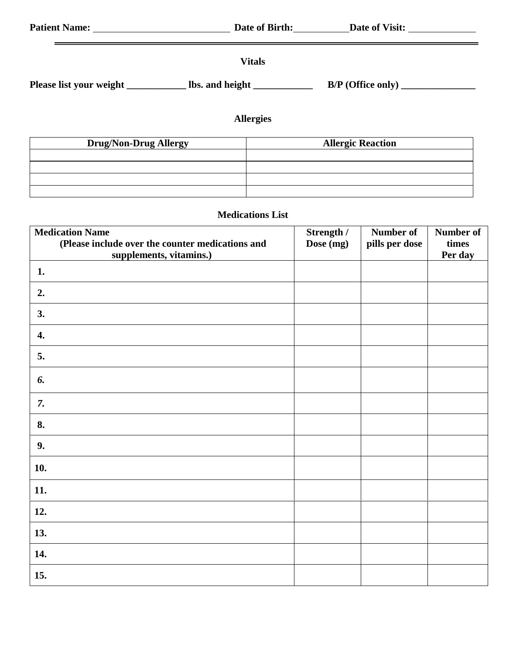| <b>Patient Name:</b>    | Date of Birth:  | Date of Visit:      |  |
|-------------------------|-----------------|---------------------|--|
|                         | <b>Vitals</b>   |                     |  |
| Please list your weight | lbs. and height | $B/P$ (Office only) |  |

# **Allergies**

| <b>Drug/Non-Drug Allergy</b> | <b>Allergic Reaction</b> |
|------------------------------|--------------------------|
|                              |                          |
|                              |                          |
|                              |                          |
|                              |                          |

## **Medications List**

| <b>Medication Name</b>                                                      | Strength / | Number of      | Number of        |
|-----------------------------------------------------------------------------|------------|----------------|------------------|
| (Please include over the counter medications and<br>supplements, vitamins.) | Dose (mg)  | pills per dose | times<br>Per day |
| 1.                                                                          |            |                |                  |
| 2.                                                                          |            |                |                  |
| 3.                                                                          |            |                |                  |
| 4.                                                                          |            |                |                  |
| 5.                                                                          |            |                |                  |
| 6.                                                                          |            |                |                  |
| 7.                                                                          |            |                |                  |
| 8.                                                                          |            |                |                  |
| 9.                                                                          |            |                |                  |
| 10.                                                                         |            |                |                  |
| 11.                                                                         |            |                |                  |
| 12.                                                                         |            |                |                  |
| 13.                                                                         |            |                |                  |
| 14.                                                                         |            |                |                  |
| 15.                                                                         |            |                |                  |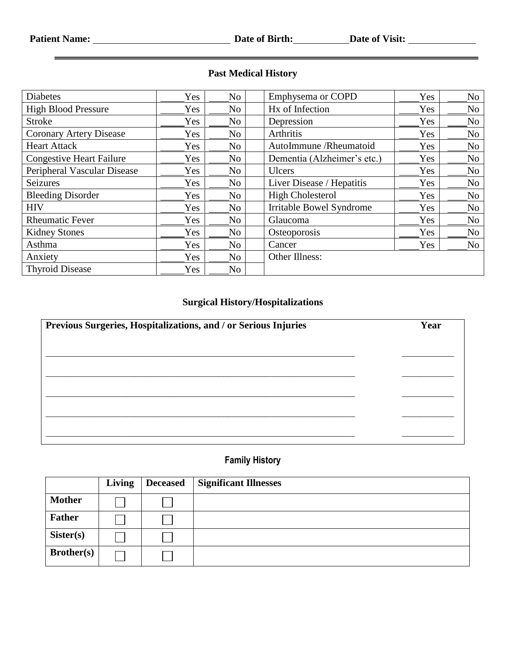| <b>Diabetes</b>                 | Yes | No             | Emphysema or COPD               | Yes        | No             |
|---------------------------------|-----|----------------|---------------------------------|------------|----------------|
| <b>High Blood Pressure</b>      | Yes | No             | Hx of Infection                 | Yes        | N <sub>o</sub> |
| <b>Stroke</b>                   | Yes | N <sub>o</sub> | Depression                      | Yes        | N <sub>o</sub> |
| <b>Coronary Artery Disease</b>  | Yes | No             | Arthritis                       | Yes        | N <sub>o</sub> |
| <b>Heart Attack</b>             | Yes | No             | AutoImmune / Rheumatoid         | Yes        | No             |
| <b>Congestive Heart Failure</b> | Yes | No             | Dementia (Alzheimer's etc.)     | <b>Yes</b> | N <sub>o</sub> |
| Peripheral Vascular Disease     | Yes | No.            | <b>Ulcers</b>                   | Yes        | N <sub>o</sub> |
| Seizures                        | Yes | No             | Liver Disease / Hepatitis       | Yes        | N <sub>o</sub> |
| <b>Bleeding Disorder</b>        | Yes | No             | <b>High Cholesterol</b>         | Yes        | N <sub>o</sub> |
| <b>HIV</b>                      | Yes | No             | <b>Irritable Bowel Syndrome</b> | Yes        | N <sub>o</sub> |
| <b>Rheumatic Fever</b>          | Yes | No             | Glaucoma                        | Yes        | N <sub>o</sub> |
| <b>Kidney Stones</b>            | Yes | No             | Osteoporosis                    | Yes        | No             |
| Asthma                          | Yes | No             | Cancer                          | Yes        | N <sub>o</sub> |
| Anxiety                         | Yes | No             | Other Illness:                  |            |                |
| <b>Thyroid Disease</b>          | Yes | No             |                                 |            |                |

#### **Past Medical History**

## **Surgical History/Hospitalizations**

| Previous Surgeries, Hospitalizations, and / or Serious Injuries | Year |
|-----------------------------------------------------------------|------|
|                                                                 |      |
|                                                                 |      |
|                                                                 |      |
|                                                                 |      |
|                                                                 |      |
|                                                                 |      |

#### **Family History**

|                   | Living | <b>Deceased</b> | <b>Significant Illnesses</b> |
|-------------------|--------|-----------------|------------------------------|
| <b>Mother</b>     |        |                 |                              |
| <b>Father</b>     |        |                 |                              |
| Sister(s)         |        |                 |                              |
| <b>Brother(s)</b> |        |                 |                              |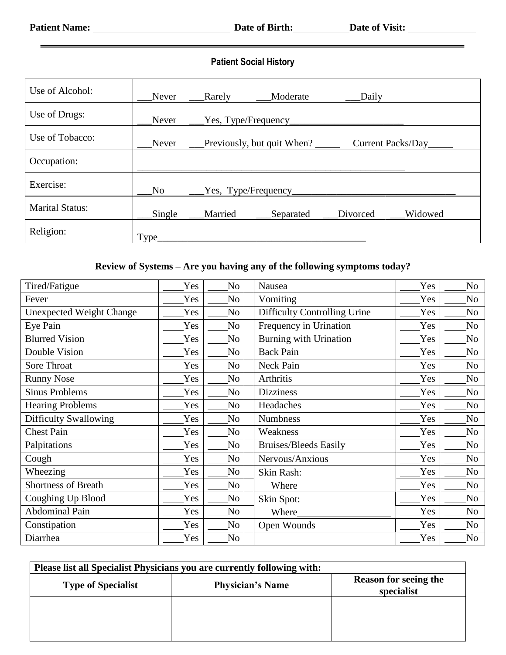$=$ 

## **Patient Social History**

| Use of Alcohol:        | Never          | Rarely               | Moderate                   | Daily |                   |
|------------------------|----------------|----------------------|----------------------------|-------|-------------------|
| Use of Drugs:          | Never          |                      | Yes, Type/Frequency        |       |                   |
| Use of Tobacco:        | Never          |                      | Previously, but quit When? |       | Current Packs/Day |
| Occupation:            |                |                      |                            |       |                   |
| Exercise:              | N <sub>o</sub> | Yes, Type/Frequency_ |                            |       |                   |
| <b>Marital Status:</b> | Single         | Married              | Separated Divorced         |       | Widowed           |
| Religion:              | Type_          |                      |                            |       |                   |

#### **Review of Systems – Are you having any of the following symptoms today?**

| Tired/Fatigue                   | Yes | No             | Nausea                              | Yes | No             |
|---------------------------------|-----|----------------|-------------------------------------|-----|----------------|
| Fever                           | Yes | No             | Vomiting                            | Yes | No             |
| <b>Unexpected Weight Change</b> | Yes | N <sub>0</sub> | <b>Difficulty Controlling Urine</b> | Yes | No             |
| Eye Pain                        | Yes | N <sub>o</sub> | Frequency in Urination              | Yes | N <sub>o</sub> |
| <b>Blurred Vision</b>           | Yes | No             | <b>Burning with Urination</b>       | Yes | No             |
| Double Vision                   | Yes | N <sub>o</sub> | <b>Back Pain</b>                    | Yes | N <sub>o</sub> |
| Sore Throat                     | Yes | N <sub>0</sub> | Neck Pain                           | Yes | N <sub>o</sub> |
| <b>Runny Nose</b>               | Yes | N <sub>o</sub> | Arthritis                           | Yes | No             |
| <b>Sinus Problems</b>           | Yes | N <sub>o</sub> | <b>Dizziness</b>                    | Yes | N <sub>o</sub> |
| <b>Hearing Problems</b>         | Yes | N <sub>0</sub> | Headaches                           | Yes | No             |
| <b>Difficulty Swallowing</b>    | Yes | N <sub>o</sub> | <b>Numbness</b>                     | Yes | N <sub>o</sub> |
| <b>Chest Pain</b>               | Yes | No             | Weakness                            | Yes | N <sub>o</sub> |
| Palpitations                    | Yes | N <sub>o</sub> | <b>Bruises/Bleeds Easily</b>        | Yes | N <sub>o</sub> |
| Cough                           | Yes | No             | Nervous/Anxious                     | Yes | No             |
| Wheezing                        | Yes | No             | Skin Rash:                          | Yes | No             |
| <b>Shortness of Breath</b>      | Yes | No             | Where                               | Yes | No             |
| Coughing Up Blood               | Yes | No             | Skin Spot:                          | Yes | N <sub>o</sub> |
| <b>Abdominal Pain</b>           | Yes | No             | Where                               | Yes | N <sub>o</sub> |
| Constipation                    | Yes | No             | Open Wounds                         | Yes | No             |
| Diarrhea                        | Yes | No             |                                     | Yes | No             |

| Please list all Specialist Physicians you are currently following with: |                         |                                            |  |  |  |
|-------------------------------------------------------------------------|-------------------------|--------------------------------------------|--|--|--|
| <b>Type of Specialist</b>                                               | <b>Physician's Name</b> | <b>Reason for seeing the</b><br>specialist |  |  |  |
|                                                                         |                         |                                            |  |  |  |
|                                                                         |                         |                                            |  |  |  |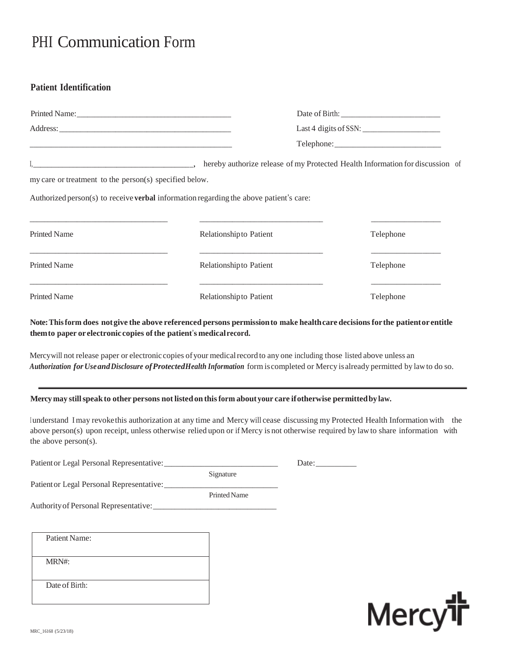# PHI Communication Form

#### **Patient Identification**

| my care or treatment to the person(s) specified below. |                                                                                               |           |
|--------------------------------------------------------|-----------------------------------------------------------------------------------------------|-----------|
|                                                        | Authorized person(s) to receive <b>verbal</b> information regarding the above patient's care: |           |
|                                                        |                                                                                               |           |
| <b>Printed Name</b>                                    | Relationship to Patient                                                                       | Telephone |
| <b>Printed Name</b>                                    | Relationship to Patient                                                                       | Telephone |
| <b>Printed Name</b>                                    | Relationship to Patient                                                                       | Telephone |

**Note:Thisform does notgive the above referenced persons permissionto make healthcare decisionsforthe patientor entitle themto paper orelectronic copies ofthe patient**'**s medicalrecord.**

Mercywill not release paper or electronic copies ofyour medicalrecord to any one including those listed above unless an *Authorization forUseandDisclosure ofProtectedHealth Information* form iscompleted or Mercy isalready permitted by lawto do so.

**Mercy may stillspeakto other persons notlistedon thisform aboutyour care ifotherwise permittedby law.**

<sup>I</sup> understand Imay revokethis authorization at any time and Mercy will cease discussing my Protected Health Information with the above person(s) upon receipt, unless otherwise relied upon or if Mercy is not otherwise required by law to share information with the above person(s).

| Patient Name:  |  |
|----------------|--|
|                |  |
| MRN#:          |  |
|                |  |
| Date of Birth: |  |
|                |  |
|                |  |